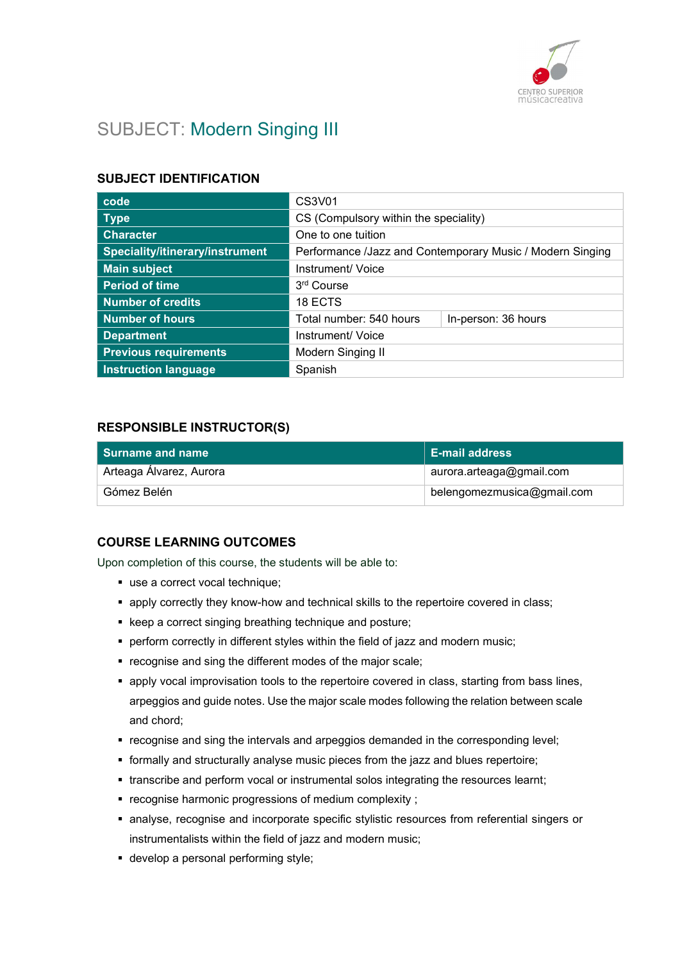

# SUBJECT: Modern Singing III

### SUBJECT IDENTIFICATION

| code                            | CS3V01                                                    |  |
|---------------------------------|-----------------------------------------------------------|--|
| <b>Type</b>                     | CS (Compulsory within the speciality)                     |  |
| <b>Character</b>                | One to one tuition                                        |  |
| Speciality/itinerary/instrument | Performance /Jazz and Contemporary Music / Modern Singing |  |
| <b>Main subject</b>             | Instrument/ Voice                                         |  |
| <b>Period of time</b>           | 3rd Course                                                |  |
| <b>Number of credits</b>        | 18 ECTS                                                   |  |
| <b>Number of hours</b>          | Total number: 540 hours<br>In-person: 36 hours            |  |
| <b>Department</b>               | Instrument/ Voice                                         |  |
| <b>Previous requirements</b>    | Modern Singing II                                         |  |
| <b>Instruction language</b>     | Spanish                                                   |  |

### RESPONSIBLE INSTRUCTOR(S)

| <b>Surname and name</b> | <b>E-mail address</b>      |
|-------------------------|----------------------------|
| Arteaga Álvarez, Aurora | aurora.arteaga@gmail.com   |
| Gómez Belén             | belengomezmusica@gmail.com |

#### COURSE LEARNING OUTCOMES

Upon completion of this course, the students will be able to:

- use a correct vocal technique;
- apply correctly they know-how and technical skills to the repertoire covered in class;
- keep a correct singing breathing technique and posture;
- **•** perform correctly in different styles within the field of jazz and modern music;
- recognise and sing the different modes of the major scale;
- **apply vocal improvisation tools to the repertoire covered in class, starting from bass lines,** arpeggios and guide notes. Use the major scale modes following the relation between scale and chord;
- recognise and sing the intervals and arpeggios demanded in the corresponding level;
- formally and structurally analyse music pieces from the jazz and blues repertoire;
- transcribe and perform vocal or instrumental solos integrating the resources learnt;
- recognise harmonic progressions of medium complexity ;
- analyse, recognise and incorporate specific stylistic resources from referential singers or instrumentalists within the field of jazz and modern music;
- develop a personal performing style;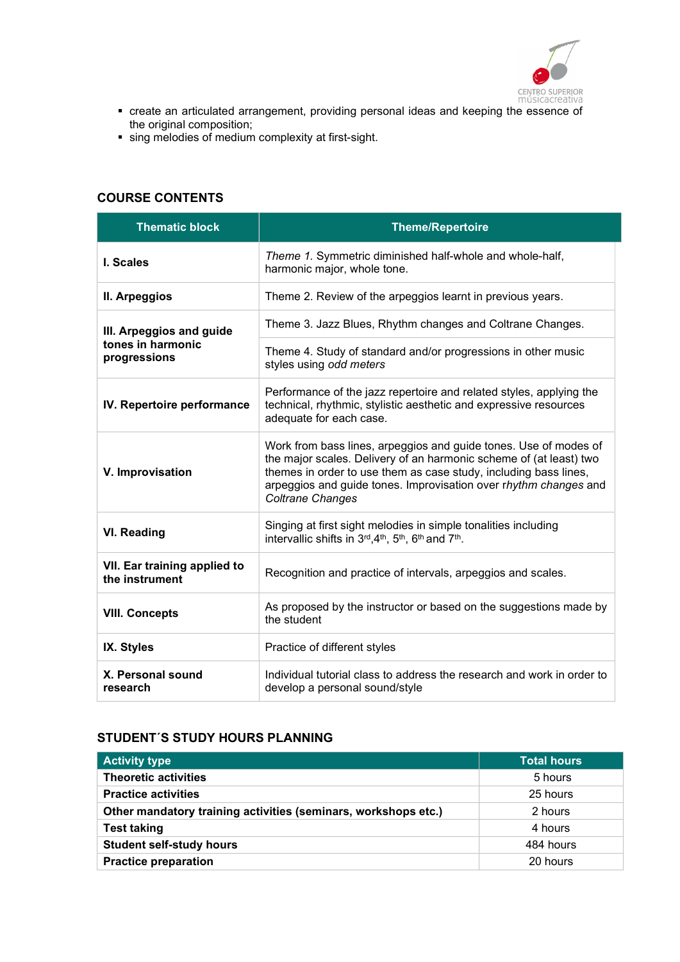

- create an articulated arrangement, providing personal ideas and keeping the essence of the original composition;
- sing melodies of medium complexity at first-sight.

### COURSE CONTENTS

| <b>Thematic block</b>                          | <b>Theme/Repertoire</b>                                                                                                                                                                                                                                                                                   |
|------------------------------------------------|-----------------------------------------------------------------------------------------------------------------------------------------------------------------------------------------------------------------------------------------------------------------------------------------------------------|
| I. Scales                                      | Theme 1. Symmetric diminished half-whole and whole-half,<br>harmonic major, whole tone.                                                                                                                                                                                                                   |
| II. Arpeggios                                  | Theme 2. Review of the arpeggios learnt in previous years.                                                                                                                                                                                                                                                |
| III. Arpeggios and guide                       | Theme 3. Jazz Blues, Rhythm changes and Coltrane Changes.                                                                                                                                                                                                                                                 |
| tones in harmonic<br>progressions              | Theme 4. Study of standard and/or progressions in other music<br>styles using odd meters                                                                                                                                                                                                                  |
| IV. Repertoire performance                     | Performance of the jazz repertoire and related styles, applying the<br>technical, rhythmic, stylistic aesthetic and expressive resources<br>adequate for each case.                                                                                                                                       |
| V. Improvisation                               | Work from bass lines, arpeggios and guide tones. Use of modes of<br>the major scales. Delivery of an harmonic scheme of (at least) two<br>themes in order to use them as case study, including bass lines,<br>arpeggios and guide tones. Improvisation over rhythm changes and<br><b>Coltrane Changes</b> |
| <b>VI. Reading</b>                             | Singing at first sight melodies in simple tonalities including<br>intervallic shifts in 3rd, 4th, 5th, 6th and 7th.                                                                                                                                                                                       |
| VII. Ear training applied to<br>the instrument | Recognition and practice of intervals, arpeggios and scales.                                                                                                                                                                                                                                              |
| <b>VIII. Concepts</b>                          | As proposed by the instructor or based on the suggestions made by<br>the student                                                                                                                                                                                                                          |
| IX. Styles                                     | Practice of different styles                                                                                                                                                                                                                                                                              |
| X. Personal sound<br>research                  | Individual tutorial class to address the research and work in order to<br>develop a personal sound/style                                                                                                                                                                                                  |

### STUDENT´S STUDY HOURS PLANNING

| <b>Activity type</b>                                           | Total hours |
|----------------------------------------------------------------|-------------|
| <b>Theoretic activities</b>                                    | 5 hours     |
| <b>Practice activities</b>                                     | 25 hours    |
| Other mandatory training activities (seminars, workshops etc.) | 2 hours     |
| <b>Test taking</b>                                             | 4 hours     |
| <b>Student self-study hours</b>                                | 484 hours   |
| <b>Practice preparation</b>                                    | 20 hours    |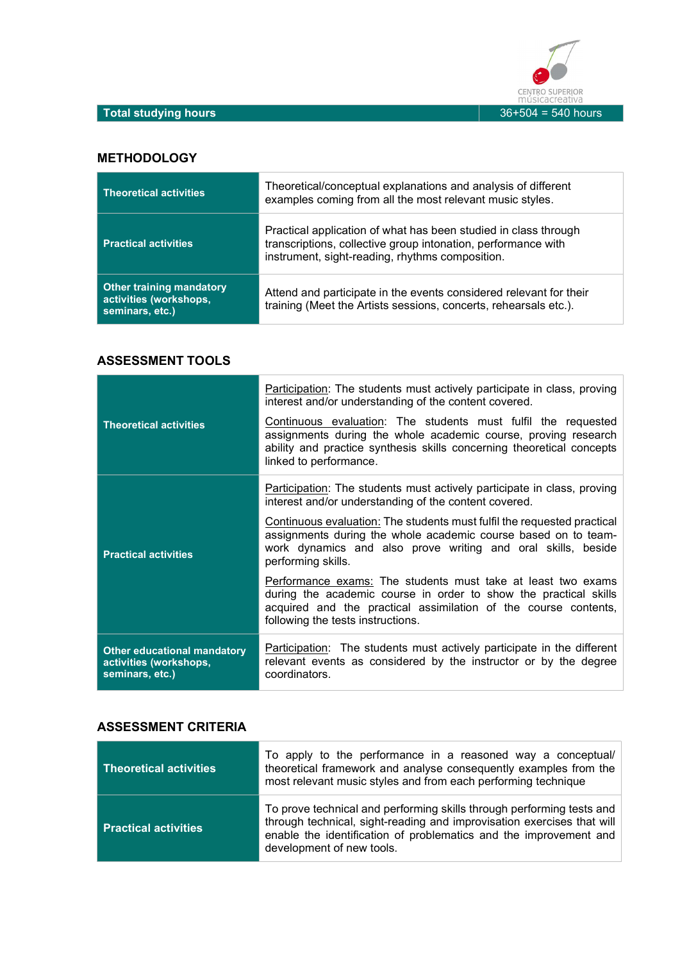

### **METHODOLOGY**

| <b>Theoretical activities</b>                                                | Theoretical/conceptual explanations and analysis of different<br>examples coming from all the most relevant music styles.                                                           |
|------------------------------------------------------------------------------|-------------------------------------------------------------------------------------------------------------------------------------------------------------------------------------|
| <b>Practical activities</b>                                                  | Practical application of what has been studied in class through<br>transcriptions, collective group intonation, performance with<br>instrument, sight-reading, rhythms composition. |
| <b>Other training mandatory</b><br>activities (workshops,<br>seminars, etc.) | Attend and participate in the events considered relevant for their<br>training (Meet the Artists sessions, concerts, rehearsals etc.).                                              |

### ASSESSMENT TOOLS

|                                                                                 | <b>Participation:</b> The students must actively participate in class, proving<br>interest and/or understanding of the content covered.                                                                                                  |
|---------------------------------------------------------------------------------|------------------------------------------------------------------------------------------------------------------------------------------------------------------------------------------------------------------------------------------|
| <b>Theoretical activities</b>                                                   | Continuous evaluation: The students must fulfil the requested<br>assignments during the whole academic course, proving research<br>ability and practice synthesis skills concerning theoretical concepts<br>linked to performance.       |
| <b>Practical activities</b>                                                     | Participation: The students must actively participate in class, proving<br>interest and/or understanding of the content covered.                                                                                                         |
|                                                                                 | Continuous evaluation: The students must fulfil the requested practical<br>assignments during the whole academic course based on to team-<br>work dynamics and also prove writing and oral skills, beside<br>performing skills.          |
|                                                                                 | Performance exams: The students must take at least two exams<br>during the academic course in order to show the practical skills<br>acquired and the practical assimilation of the course contents,<br>following the tests instructions. |
| <b>Other educational mandatory</b><br>activities (workshops,<br>seminars, etc.) | <b>Participation:</b> The students must actively participate in the different<br>relevant events as considered by the instructor or by the degree<br>coordinators.                                                                       |

#### ASSESSMENT CRITERIA

| <b>Theoretical activities</b> | To apply to the performance in a reasoned way a conceptual/<br>theoretical framework and analyse consequently examples from the<br>most relevant music styles and from each performing technique                                                  |
|-------------------------------|---------------------------------------------------------------------------------------------------------------------------------------------------------------------------------------------------------------------------------------------------|
| <b>Practical activities</b>   | To prove technical and performing skills through performing tests and<br>through technical, sight-reading and improvisation exercises that will<br>enable the identification of problematics and the improvement and<br>development of new tools. |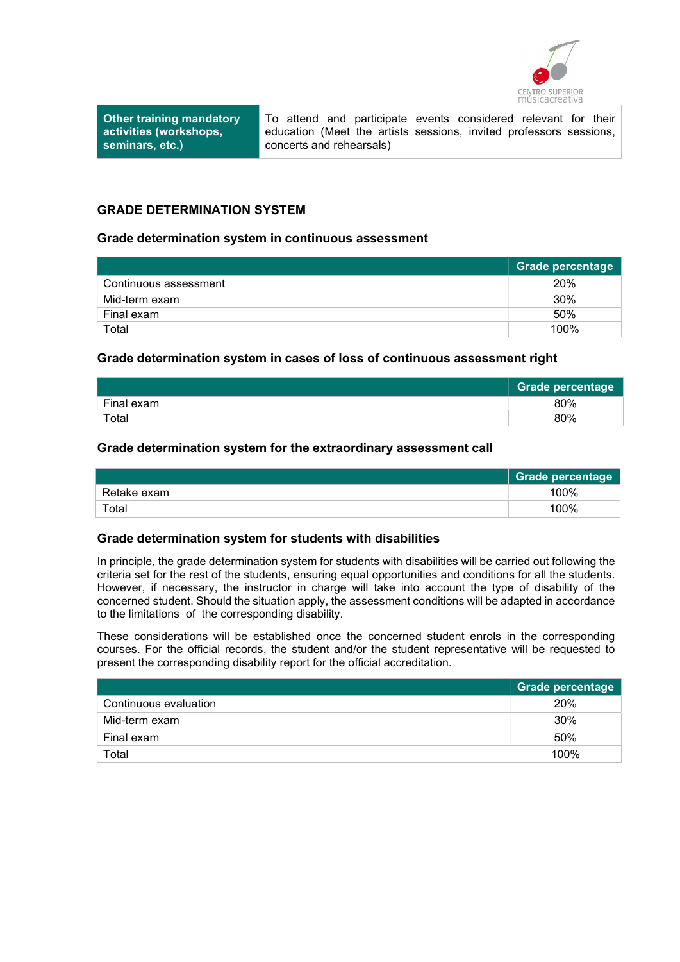

Other training mandatory activities (workshops, seminars, etc.)

To attend and participate events considered relevant for their education (Meet the artists sessions, invited professors sessions, concerts and rehearsals)

#### GRADE DETERMINATION SYSTEM

#### Grade determination system in continuous assessment

|                       | Grade percentage |
|-----------------------|------------------|
| Continuous assessment | 20%              |
| Mid-term exam         | 30%              |
| Final exam            | 50%              |
| Total                 | 100%             |

#### Grade determination system in cases of loss of continuous assessment right

|            | <b>Grade percentage</b> |
|------------|-------------------------|
| Final exam | 80%                     |
| Total      | 80%                     |

#### Grade determination system for the extraordinary assessment call

|             | Grade percentage |
|-------------|------------------|
| Retake exam | 100%             |
| $\tau$ otal | 100%             |

#### Grade determination system for students with disabilities

In principle, the grade determination system for students with disabilities will be carried out following the criteria set for the rest of the students, ensuring equal opportunities and conditions for all the students. However, if necessary, the instructor in charge will take into account the type of disability of the concerned student. Should the situation apply, the assessment conditions will be adapted in accordance to the limitations of the corresponding disability.

These considerations will be established once the concerned student enrols in the corresponding courses. For the official records, the student and/or the student representative will be requested to present the corresponding disability report for the official accreditation.

|                       | Grade percentage |
|-----------------------|------------------|
| Continuous evaluation | 20%              |
| Mid-term exam         | 30%              |
| Final exam            | 50%              |
| Total                 | 100%             |